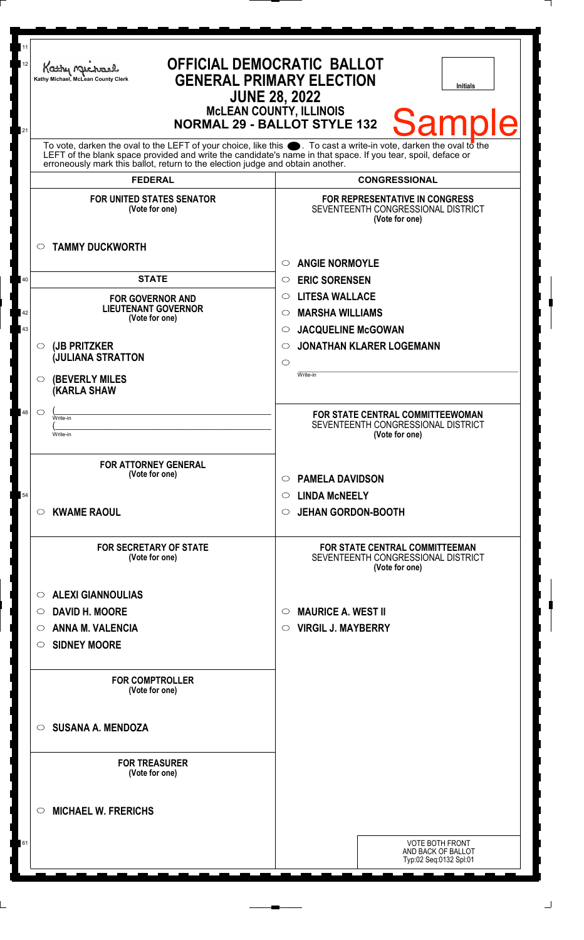| 11<br>12 | <b>OFFICIAL DEMOCRATIC BALLOT</b><br>Kathy Muc<br><b>GENERAL PRIMARY ELECTION</b><br>Kathy Michael, McLean County Clerk<br>Initials<br><b>JUNE 28, 2022</b>                                                                                                                                                                  |                                                                                               |
|----------|------------------------------------------------------------------------------------------------------------------------------------------------------------------------------------------------------------------------------------------------------------------------------------------------------------------------------|-----------------------------------------------------------------------------------------------|
| 21       |                                                                                                                                                                                                                                                                                                                              | <b>McLEAN COUNTY, ILLINOIS</b><br><b>Sample</b><br><b>NORMAL 29 - BALLOT STYLE 132</b>        |
|          | To vote, darken the oval to the LEFT of your choice, like this $\bullet$ . To cast a write-in vote, darken the oval to the<br>LEFT of the blank space provided and write the candidate's name in that space. If you tear, spoil, deface or<br>erroneously mark this ballot, return to the election judge and obtain another. |                                                                                               |
|          | <b>FEDERAL</b>                                                                                                                                                                                                                                                                                                               | <b>CONGRESSIONAL</b>                                                                          |
|          | <b>FOR UNITED STATES SENATOR</b><br>(Vote for one)                                                                                                                                                                                                                                                                           | <b>FOR REPRESENTATIVE IN CONGRESS</b><br>SEVENTEENTH CONGRESSIONAL DISTRICT<br>(Vote for one) |
|          | <b>TAMMY DUCKWORTH</b><br>$\circ$                                                                                                                                                                                                                                                                                            | <b>ANGIE NORMOYLE</b><br>$\bigcirc$                                                           |
| 40       | <b>STATE</b>                                                                                                                                                                                                                                                                                                                 | <b>ERIC SORENSEN</b><br>$\circ$                                                               |
|          | <b>FOR GOVERNOR AND</b>                                                                                                                                                                                                                                                                                                      | <b>LITESA WALLACE</b><br>$\circ$                                                              |
| 42       | <b>LIEUTENANT GOVERNOR</b>                                                                                                                                                                                                                                                                                                   | <b>MARSHA WILLIAMS</b><br>◯                                                                   |
| 43       | (Vote for one)                                                                                                                                                                                                                                                                                                               | <b>JACQUELINE McGOWAN</b><br>$\circ$                                                          |
|          | (JB PRITZKER<br>$\circ$                                                                                                                                                                                                                                                                                                      | <b>JONATHAN KLARER LOGEMANN</b><br>◯                                                          |
|          | <b>JULIANA STRATTON</b>                                                                                                                                                                                                                                                                                                      | $\circ$                                                                                       |
|          | <b>(BEVERLY MILES</b><br>$\circ$<br><b>(KARLA SHAW</b>                                                                                                                                                                                                                                                                       | Write-in                                                                                      |
| 48       | $\circlearrowright$<br>Write-in                                                                                                                                                                                                                                                                                              | FOR STATE CENTRAL COMMITTEEWOMAN                                                              |
|          | Write-in                                                                                                                                                                                                                                                                                                                     | SEVENTEENTH CONGRESSIONAL DISTRICT<br>(Vote for one)                                          |
|          |                                                                                                                                                                                                                                                                                                                              |                                                                                               |
|          | <b>FOR ATTORNEY GENERAL</b>                                                                                                                                                                                                                                                                                                  |                                                                                               |
|          | (Vote for one)                                                                                                                                                                                                                                                                                                               | <b>PAMELA DAVIDSON</b><br>$\circ$                                                             |
| 54       |                                                                                                                                                                                                                                                                                                                              | <b>LINDA MCNEELY</b><br>$\circ$                                                               |
|          | <b>KWAME RAOUL</b><br>$\circ$                                                                                                                                                                                                                                                                                                | <b>JEHAN GORDON-BOOTH</b><br>$\circ$                                                          |
|          |                                                                                                                                                                                                                                                                                                                              |                                                                                               |
|          | <b>FOR SECRETARY OF STATE</b><br>(Vote for one)                                                                                                                                                                                                                                                                              | <b>FOR STATE CENTRAL COMMITTEEMAN</b><br>SEVENTEENTH CONGRESSIONAL DISTRICT<br>(Vote for one) |
|          | <b>ALEXI GIANNOULIAS</b><br>$\circ$                                                                                                                                                                                                                                                                                          |                                                                                               |
|          | <b>DAVID H. MOORE</b><br>$\circ$                                                                                                                                                                                                                                                                                             | <b>MAURICE A. WEST II</b><br>$\circ$                                                          |
|          | <b>ANNA M. VALENCIA</b><br>$\circ$                                                                                                                                                                                                                                                                                           | <b>VIRGIL J. MAYBERRY</b><br>$\circ$                                                          |
|          | <b>SIDNEY MOORE</b><br>O                                                                                                                                                                                                                                                                                                     |                                                                                               |
|          |                                                                                                                                                                                                                                                                                                                              |                                                                                               |
|          | <b>FOR COMPTROLLER</b><br>(Vote for one)                                                                                                                                                                                                                                                                                     |                                                                                               |
|          | <b>SUSANA A. MENDOZA</b><br>$\circ$                                                                                                                                                                                                                                                                                          |                                                                                               |
|          | <b>FOR TREASURER</b><br>(Vote for one)                                                                                                                                                                                                                                                                                       |                                                                                               |
|          | <b>MICHAEL W. FRERICHS</b><br>$\circ$                                                                                                                                                                                                                                                                                        |                                                                                               |
| 61       |                                                                                                                                                                                                                                                                                                                              | <b>VOTE BOTH FRONT</b>                                                                        |
|          |                                                                                                                                                                                                                                                                                                                              | AND BACK OF BALLOT<br>Typ:02 Seq:0132 Spl:01                                                  |
|          |                                                                                                                                                                                                                                                                                                                              |                                                                                               |